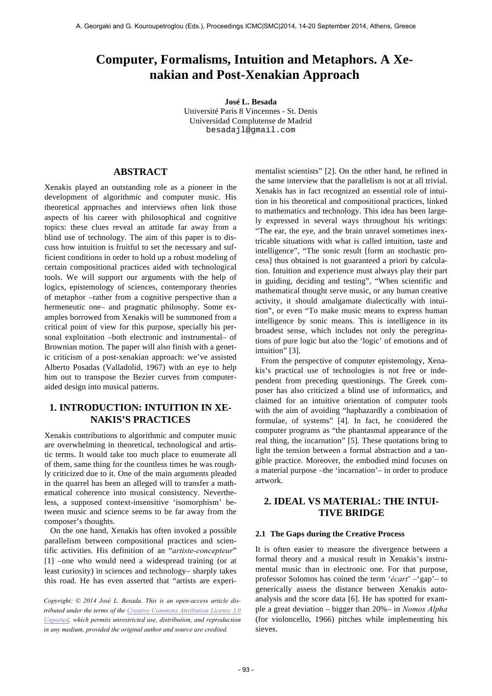# **Computer, Formalisms, Intuition and Metaphors. A Xenakian and Post-Xenakian Approach**

**José L. Besada** Université Paris 8 Vincennes - St. Denis Universidad Complutense de Madrid besadajl@gmail.com

## **ABSTRACT**

Xenakis played an outstanding role as a pioneer in the development of algorithmic and computer music. His theoretical approaches and interviews often link those aspects of his career with philosophical and cognitive topics: these clues reveal an attitude far away from a blind use of technology. The aim of this paper is to discuss how intuition is fruitful to set the necessary and sufficient conditions in order to hold up a robust modeling of certain compositional practices aided with technological tools. We will support our arguments with the help of logics, epistemology of sciences, contemporary theories of metaphor –rather from a cognitive perspective than a hermeneutic one– and pragmatic philosophy. Some examples borrowed from Xenakis will be summoned from a critical point of view for this purpose, specially his personal exploitation –both electronic and instrumental– of Brownian motion. The paper will also finish with a genetic criticism of a post-xenakian approach: we've assisted Alberto Posadas (Valladolid, 1967) with an eye to help him out to transpose the Bezier curves from computeraided design into musical patterns.

# **1. INTRODUCTION: INTUITION IN XE-NAKIS'S PRACTICES**

Xenakis contributions to algorithmic and computer music are overwhelming in theoretical, technological and artistic terms. It would take too much place to enumerate all of them, same thing for the countless times he was roughly criticized due to it. One of the main arguments pleaded in the quarrel has been an alleged will to transfer a mathematical coherence into musical consistency. Nevertheless, a supposed context-insensitive 'isomorphism' between music and science seems to be far away from the composer's thoughts.

On the one hand, Xenakis has often invoked a possible parallelism between compositional practices and scientific activities. His definition of an "*artiste-concepteur*" [1] –one who would need a widespread training (or at least curiosity) in sciences and technology– sharply takes this road. He has even asserted that "artists are experi-

*Copyright: © 2014 José L. Besada. This is an open-access article distributed under the terms of the Creative Commons Attribution License 3.0 Unported, which permits unrestricted use, distribution, and reproduction in any medium, provided the original author and source are credited.*

mentalist scientists" [2]. On the other hand, he refined in the same interview that the parallelism is not at all trivial. Xenakis has in fact recognized an essential role of intuition in his theoretical and compositional practices, linked to mathematics and technology. This idea has been largely expressed in several ways throughout his writings: "The ear, the eye, and the brain unravel sometimes inextricable situations with what is called intuition, taste and intelligence", "The sonic result [form an stochastic process] thus obtained is not guaranteed a priori by calculation. Intuition and experience must always play their part in guiding, deciding and testing", "When scientific and mathematical thought serve music, or any human creative activity, it should amalgamate dialectically with intuition", or even "To make music means to express human intelligence by sonic means. This is intelligence in its broadest sense, which includes not only the peregrinations of pure logic but also the 'logic' of emotions and of intuition" [3].

From the perspective of computer epistemology, Xenakis's practical use of technologies is not free or independent from preceding questionings. The Greek composer has also criticized a blind use of informatics, and claimed for an intuitive orientation of computer tools with the aim of avoiding "haphazardly a combination of formulae, of systems" [4]. In fact, he considered the computer programs as "the phantasmal appearance of the real thing, the incarnation" [5]. These quotations bring to light the tension between a formal abstraction and a tangible practice. Moreover, the embodied mind focuses on a material purpose –the 'incarnation'– in order to produce artwork.

# **2. IDEAL VS MATERIAL: THE INTUI-TIVE BRIDGE**

#### **2.1 The Gaps during the Creative Process**

It is often easier to measure the divergence between a formal theory and a musical result in Xenakis's instrumental music than in electronic one. For that purpose, professor Solomos has coined the term '*écart*' –'gap'– to generically assess the distance between Xenakis autoanalysis and the score data [6]. He has spotted for example a great deviation – bigger than 20%– in *Nomos Alpha* (for violoncello, 1966) pitches while implementing his sieves.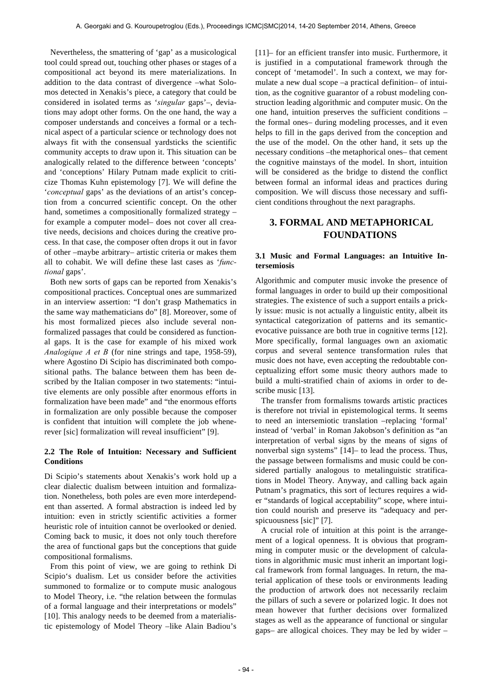Nevertheless, the smattering of 'gap' as a musicological tool could spread out, touching other phases or stages of a compositional act beyond its mere materializations. In addition to the data contrast of divergence –what Solomos detected in Xenakis's piece, a category that could be considered in isolated terms as '*singular* gaps'–, deviations may adopt other forms. On the one hand, the way a composer understands and conceives a formal or a technical aspect of a particular science or technology does not always fit with the consensual yardsticks the scientific community accepts to draw upon it. This situation can be analogically related to the difference between 'concepts' and 'conceptions' Hilary Putnam made explicit to criticize Thomas Kuhn epistemology [7]. We will define the '*conceptual* gaps' as the deviations of an artist's conception from a concurred scientific concept. On the other hand, sometimes a compositionally formalized strategy for example a computer model– does not cover all creative needs, decisions and choices during the creative process. In that case, the composer often drops it out in favor of other –maybe arbitrary– artistic criteria or makes them all to cohabit. We will define these last cases as '*functional* gaps'.

Both new sorts of gaps can be reported from Xenakis's compositional practices. Conceptual ones are summarized in an interview assertion: "I don't grasp Mathematics in the same way mathematicians do" [8]. Moreover, some of his most formalized pieces also include several nonformalized passages that could be considered as functional gaps. It is the case for example of his mixed work *Analogique A et B* (for nine strings and tape, 1958-59), where Agostino Di Scipio has discriminated both compositional paths. The balance between them has been described by the Italian composer in two statements: "intuitive elements are only possible after enormous efforts in formalization have been made" and "the enormous efforts in formalization are only possible because the composer is confident that intuition will complete the job whenerever [sic] formalization will reveal insufficient" [9].

#### **2.2 The Role of Intuition: Necessary and Sufficient Conditions**

Di Scipio's statements about Xenakis's work hold up a clear dialectic dualism between intuition and formalization. Nonetheless, both poles are even more interdependent than asserted. A formal abstraction is indeed led by intuition: even in strictly scientific activities a former heuristic role of intuition cannot be overlooked or denied. Coming back to music, it does not only touch therefore the area of functional gaps but the conceptions that guide compositional formalisms.

From this point of view, we are going to rethink Di Scipio's dualism. Let us consider before the activities summoned to formalize or to compute music analogous to Model Theory, i.e. "the relation between the formulas of a formal language and their interpretations or models" [10]. This analogy needs to be deemed from a materialistic epistemology of Model Theory –like Alain Badiou's [11]– for an efficient transfer into music. Furthermore, it is justified in a computational framework through the concept of 'metamodel'. In such a context, we may formulate a new dual scope –a practical definition– of intuition, as the cognitive guarantor of a robust modeling construction leading algorithmic and computer music. On the one hand, intuition preserves the sufficient conditions – the formal ones– during modeling processes, and it even helps to fill in the gaps derived from the conception and the use of the model. On the other hand, it sets up the necessary conditions –the metaphorical ones– that cement the cognitive mainstays of the model. In short, intuition will be considered as the bridge to distend the conflict between formal an informal ideas and practices during composition. We will discuss those necessary and sufficient conditions throughout the next paragraphs.

# **3. FORMAL AND METAPHORICAL FOUNDATIONS**

#### **3.1 Music and Formal Languages: an Intuitive Intersemiosis**

Algorithmic and computer music invoke the presence of formal languages in order to build up their compositional strategies. The existence of such a support entails a prickly issue: music is not actually a linguistic entity, albeit its syntactical categorization of patterns and its semanticevocative puissance are both true in cognitive terms [12]. More specifically, formal languages own an axiomatic corpus and several sentence transformation rules that music does not have, even accepting the redoubtable conceptualizing effort some music theory authors made to build a multi-stratified chain of axioms in order to describe music [13].

The transfer from formalisms towards artistic practices is therefore not trivial in epistemological terms. It seems to need an intersemiotic translation –replacing 'formal' instead of 'verbal' in Roman Jakobson's definition as "an interpretation of verbal signs by the means of signs of nonverbal sign systems" [14]– to lead the process. Thus, the passage between formalisms and music could be considered partially analogous to metalinguistic stratifications in Model Theory. Anyway, and calling back again Putnam's pragmatics, this sort of lectures requires a wider "standards of logical acceptability" scope, where intuition could nourish and preserve its "adequacy and perspicuousness [sic]" [7].

A crucial role of intuition at this point is the arrangement of a logical openness. It is obvious that programming in computer music or the development of calculations in algorithmic music must inherit an important logical framework from formal languages. In return, the material application of these tools or environments leading the production of artwork does not necessarily reclaim the pillars of such a severe or polarized logic. It does not mean however that further decisions over formalized stages as well as the appearance of functional or singular gaps– are allogical choices. They may be led by wider –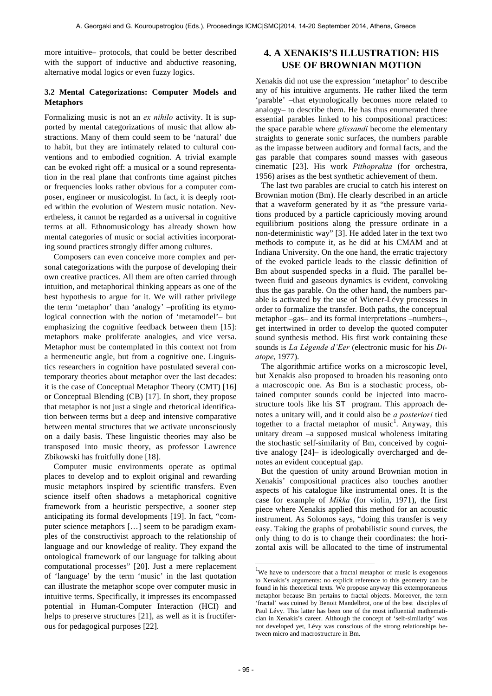more intuitive– protocols, that could be better described with the support of inductive and abductive reasoning, alternative modal logics or even fuzzy logics.

#### **3.2 Mental Categorizations: Computer Models and Metaphors**

Formalizing music is not an *ex nihilo* activity. It is supported by mental categorizations of music that allow abstractions. Many of them could seem to be 'natural' due to habit, but they are intimately related to cultural conventions and to embodied cognition. A trivial example can be evoked right off: a musical or a sound representation in the real plane that confronts time against pitches or frequencies looks rather obvious for a computer composer, engineer or musicologist. In fact, it is deeply rooted within the evolution of Western music notation. Nevertheless, it cannot be regarded as a universal in cognitive terms at all. Ethnomusicology has already shown how mental categories of music or social activities incorporating sound practices strongly differ among cultures.

Composers can even conceive more complex and personal categorizations with the purpose of developing their own creative practices. All them are often carried through intuition, and metaphorical thinking appears as one of the best hypothesis to argue for it. We will rather privilege the term 'metaphor' than 'analogy' –profiting its etymological connection with the notion of 'metamodel'– but emphasizing the cognitive feedback between them [15]: metaphors make proliferate analogies, and vice versa. Metaphor must be contemplated in this context not from a hermeneutic angle, but from a cognitive one. Linguistics researchers in cognition have postulated several contemporary theories about metaphor over the last decades: it is the case of Conceptual Metaphor Theory (CMT) [16] or Conceptual Blending (CB) [17]. In short, they propose that metaphor is not just a single and rhetorical identification between terms but a deep and intensive comparative between mental structures that we activate unconsciously on a daily basis. These linguistic theories may also be transposed into music theory, as professor Lawrence Zbikowski has fruitfully done [18].

Computer music environments operate as optimal places to develop and to exploit original and rewarding music metaphors inspired by scientific transfers. Even science itself often shadows a metaphorical cognitive framework from a heuristic perspective, a sooner step anticipating its formal developments [19]. In fact, "computer science metaphors […] seem to be paradigm examples of the constructivist approach to the relationship of language and our knowledge of reality. They expand the ontological framework of our language for talking about computational processes" [20]. Just a mere replacement of 'language' by the term 'music' in the last quotation can illustrate the metaphor scope over computer music in intuitive terms. Specifically, it impresses its encompassed potential in Human-Computer Interaction (HCI) and helps to preserve structures [21], as well as it is fructiferous for pedagogical purposes [22].

# **4. A XENAKIS'S ILLUSTRATION: HIS USE OF BROWNIAN MOTION**

Xenakis did not use the expression 'metaphor' to describe any of his intuitive arguments. He rather liked the term 'parable' –that etymologically becomes more related to analogy– to describe them. He has thus enumerated three essential parables linked to his compositional practices: the space parable where *glissandi* become the elementary straights to generate sonic surfaces, the numbers parable as the impasse between auditory and formal facts, and the gas parable that compares sound masses with gaseous cinematic [23]. His work *Pithoprakta* (for orchestra, 1956) arises as the best synthetic achievement of them.

The last two parables are crucial to catch his interest on Brownian motion (Bm). He clearly described in an article that a waveform generated by it as "the pressure variations produced by a particle capriciously moving around equilibrium positions along the pressure ordinate in a non-deterministic way" [3]. He added later in the text two methods to compute it, as he did at his CMAM and at Indiana University. On the one hand, the erratic trajectory of the evoked particle leads to the classic definition of Bm about suspended specks in a fluid. The parallel between fluid and gaseous dynamics is evident, convoking thus the gas parable. On the other hand, the numbers parable is activated by the use of Wiener-Lévy processes in order to formalize the transfer. Both paths, the conceptual metaphor –gas– and its formal interpretations –numbers–, get intertwined in order to develop the quoted computer sound synthesis method. His first work containing these sounds is *La Légende d'Eer* (electronic music for his *Diatope*, 1977).

The algorithmic artifice works on a microscopic level, but Xenakis also proposed to broaden his reasoning onto a macroscopic one. As Bm is a stochastic process, obtained computer sounds could be injected into macrostructure tools like his ST program. This approach denotes a unitary will, and it could also be *a posteriori* tied together to a fractal metaphor of music<sup>1</sup>. Anyway, this unitary dream –a supposed musical wholeness imitating the stochastic self-similarity of Bm, conceived by cognitive analogy [24]– is ideologically overcharged and denotes an evident conceptual gap.

But the question of unity around Brownian motion in Xenakis' compositional practices also touches another aspects of his catalogue like instrumental ones. It is the case for example of *Mikka* (for violin, 1971), the first piece where Xenakis applied this method for an acoustic instrument. As Solomos says, "doing this transfer is very easy. Taking the graphs of probabilistic sound curves, the only thing to do is to change their coordinates: the horizontal axis will be allocated to the time of instrumental

l

<sup>&</sup>lt;sup>1</sup>We have to underscore that a fractal metaphor of music is exogenous to Xenakis's arguments: no explicit reference to this geometry can be found in his theoretical texts. We propose anyway this extemporaneous metaphor because Bm pertains to fractal objects. Moreover, the term 'fractal' was coined by Benoit Mandelbrot, one of the best disciples of Paul Lévy. This latter has been one of the most influential mathematician in Xenakis's career. Although the concept of 'self-similarity' was not developed yet, Lévy was conscious of the strong relationships between micro and macrostructure in Bm.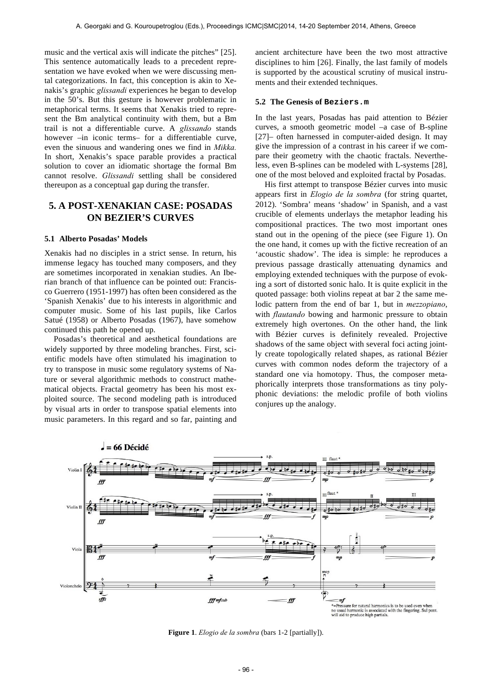music and the vertical axis will indicate the pitches" [25]. This sentence automatically leads to a precedent representation we have evoked when we were discussing mental categorizations. In fact, this conception is akin to Xenakis's graphic *glissandi* experiences he began to develop in the 50's. But this gesture is however problematic in metaphorical terms. It seems that Xenakis tried to represent the Bm analytical continuity with them, but a Bm trail is not a differentiable curve. A *glissando* stands however –in iconic terms– for a differentiable curve, even the sinuous and wandering ones we find in *Mikka.*  In short, Xenakis's space parable provides a practical solution to cover an idiomatic shortage the formal Bm cannot resolve. *Glissandi* settling shall be considered thereupon as a conceptual gap during the transfer.

# **5. A POST-XENAKIAN CASE: POSADAS ON BEZIER'S CURVES**

#### **5.1 Alberto Posadas' Models**

Xenakis had no disciples in a strict sense. In return, his immense legacy has touched many composers, and they are sometimes incorporated in xenakian studies. An Iberian branch of that influence can be pointed out: Francisco Guerrero (1951-1997) has often been considered as the 'Spanish Xenakis' due to his interests in algorithmic and computer music. Some of his last pupils, like Carlos Satué (1958) or Alberto Posadas (1967), have somehow continued this path he opened up.

Posadas's theoretical and aesthetical foundations are widely supported by three modeling branches. First, scientific models have often stimulated his imagination to try to transpose in music some regulatory systems of Nature or several algorithmic methods to construct mathematical objects. Fractal geometry has been his most exploited source. The second modeling path is introduced by visual arts in order to transpose spatial elements into music parameters. In this regard and so far, painting and ancient architecture have been the two most attractive disciplines to him [26]. Finally, the last family of models is supported by the acoustical scrutiny of musical instruments and their extended techniques.

#### **5.2 The Genesis of Beziers.m**

In the last years, Posadas has paid attention to Bézier curves, a smooth geometric model –a case of B-spline [27]– often harnessed in computer-aided design. It may give the impression of a contrast in his career if we compare their geometry with the chaotic fractals. Nevertheless, even B-splines can be modeled with L-systems [28], one of the most beloved and exploited fractal by Posadas.

His first attempt to transpose Bézier curves into music appears first in *Elogio de la sombra* (for string quartet, 2012). 'Sombra' means 'shadow' in Spanish, and a vast crucible of elements underlays the metaphor leading his compositional practices. The two most important ones stand out in the opening of the piece (see Figure 1). On the one hand, it comes up with the fictive recreation of an 'acoustic shadow'. The idea is simple: he reproduces a previous passage drastically attenuating dynamics and employing extended techniques with the purpose of evoking a sort of distorted sonic halo. It is quite explicit in the quoted passage: both violins repeat at bar 2 the same melodic pattern from the end of bar 1, but in *mezzopiano*, with *flautando* bowing and harmonic pressure to obtain extremely high overtones. On the other hand, the link with Bézier curves is definitely revealed. Projective shadows of the same object with several foci acting jointly create topologically related shapes, as rational Bézier curves with common nodes deform the trajectory of a standard one via homotopy. Thus, the composer metaphorically interprets those transformations as tiny polyphonic deviations: the melodic profile of both violins conjures up the analogy.



**Figure 1**. *Elogio de la sombra* (bars 1-2 [partially]).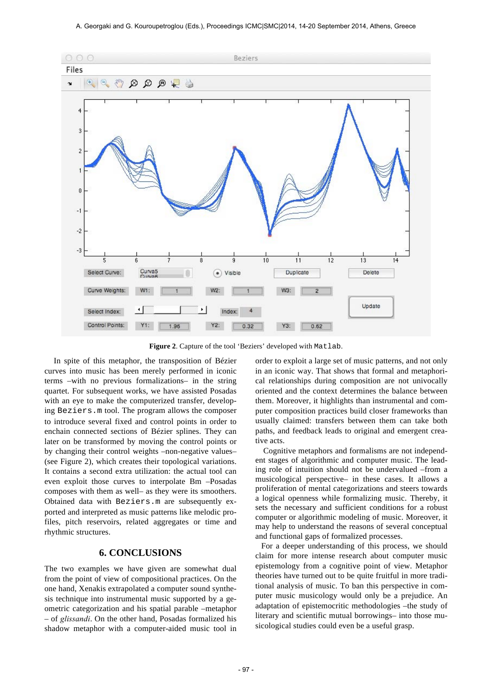

**Figure 2**. Capture of the tool 'Beziers' developed with Matlab.

In spite of this metaphor, the transposition of Bézier curves into music has been merely performed in iconic terms –with no previous formalizations– in the string quartet. For subsequent works, we have assisted Posadas with an eye to make the computerized transfer, developing Beziers.m tool. The program allows the composer to introduce several fixed and control points in order to enchain connected sections of Bézier splines. They can later on be transformed by moving the control points or by changing their control weights –non-negative values– (see Figure 2), which creates their topological variations. It contains a second extra utilization: the actual tool can even exploit those curves to interpolate Bm –Posadas composes with them as well– as they were its smoothers. Obtained data with Beziers.m are subsequently exported and interpreted as music patterns like melodic profiles, pitch reservoirs, related aggregates or time and rhythmic structures.

## **6. CONCLUSIONS**

The two examples we have given are somewhat dual from the point of view of compositional practices. On the one hand, Xenakis extrapolated a computer sound synthesis technique into instrumental music supported by a geometric categorization and his spatial parable –metaphor – of *glissandi*. On the other hand, Posadas formalized his shadow metaphor with a computer-aided music tool in order to exploit a large set of music patterns, and not only in an iconic way. That shows that formal and metaphorical relationships during composition are not univocally oriented and the context determines the balance between them. Moreover, it highlights than instrumental and computer composition practices build closer frameworks than usually claimed: transfers between them can take both paths, and feedback leads to original and emergent creative acts.

 Cognitive metaphors and formalisms are not independent stages of algorithmic and computer music. The leading role of intuition should not be undervalued –from a musicological perspective– in these cases. It allows a proliferation of mental categorizations and steers towards a logical openness while formalizing music. Thereby, it sets the necessary and sufficient conditions for a robust computer or algorithmic modeling of music. Moreover, it may help to understand the reasons of several conceptual and functional gaps of formalized processes.

For a deeper understanding of this process, we should claim for more intense research about computer music epistemology from a cognitive point of view. Metaphor theories have turned out to be quite fruitful in more traditional analysis of music. To ban this perspective in computer music musicology would only be a prejudice. An adaptation of epistemocritic methodologies –the study of literary and scientific mutual borrowings– into those musicological studies could even be a useful grasp.